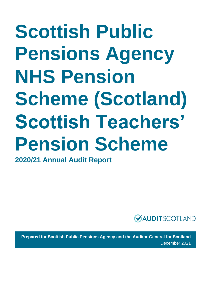# **Scottish Public Pensions Agency NHS Pension Scheme (Scotland) Scottish Teachers' Pension Scheme**

**2020/21 Annual Audit Report** 



**Prepared for Scottish Public Pensions Agency and the Auditor General for Scotland** December 2021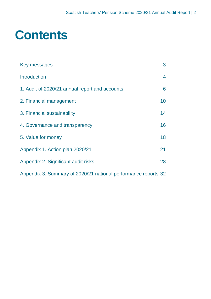### **Contents**

| Key messages                                                   | 3                       |
|----------------------------------------------------------------|-------------------------|
| <b>Introduction</b>                                            | $\overline{\mathbf{4}}$ |
| 1. Audit of 2020/21 annual report and accounts                 | 6                       |
| 2. Financial management                                        | 10                      |
| 3. Financial sustainability                                    | 14                      |
| 4. Governance and transparency                                 | 16                      |
| 5. Value for money                                             | 18                      |
| Appendix 1. Action plan 2020/21                                | 21                      |
| Appendix 2. Significant audit risks                            | 28                      |
| Appendix 3. Summary of 2020/21 national performance reports 32 |                         |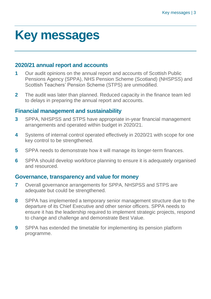### <span id="page-2-0"></span>**Key messages**

### **2020/21 annual report and accounts**

- **1** Our audit opinions on the annual report and accounts of Scottish Public Pensions Agency (SPPA), NHS Pension Scheme (Scotland) (NHSPSS) and Scottish Teachers' Pension Scheme (STPS) are unmodified.
- **2** The audit was later than planned. Reduced capacity in the finance team led to delays in preparing the annual report and accounts.

### **Financial management and sustainability**

- **3** SPPA, NHSPSS and STPS have appropriate in-year financial management arrangements and operated within budget in 2020/21.
- **4** Systems of internal control operated effectively in 2020/21 with scope for one key control to be strengthened.
- **5** SPPA needs to demonstrate how it will manage its longer-term finances.
- **6** SPPA should develop workforce planning to ensure it is adequately organised and resourced.

### **Governance, transparency and value for money**

- **7** Overall governance arrangements for SPPA, NHSPSS and STPS are adequate but could be strengthened.
- **8** SPPA has implemented a temporary senior management structure due to the departure of its Chief Executive and other senior officers. SPPA needs to ensure it has the leadership required to implement strategic projects, respond to change and challenge and demonstrate Best Value.
- **9** SPPA has extended the timetable for implementing its pension platform programme.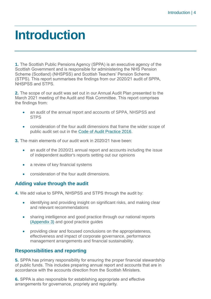### <span id="page-3-0"></span>**Introduction**

**1.** The Scottish Public Pensions Agency (SPPA) is an executive agency of the Scottish Government and is responsible for administering the NHS Pension Scheme (Scotland) (NHSPSS) and Scottish Teachers' Pension Scheme (STPS). This report summarises the findings from our 2020/21 audit of SPPA, NHSPSS and STPS.

**2.** The scope of our audit was set out in our Annual Audit Plan presented to the March 2021 meeting of the Audit and Risk Committee. This report comprises the findings from:

- an audit of the annual report and accounts of SPPA, NHSPSS and **STPS**
- consideration of the four audit dimensions that frame the wider scope of public audit set out in the [Code of Audit Practice 2016.](http://www.audit-scotland.gov.uk/report/code-of-audit-practice-2016)
- **3.** The main elements of our audit work in 2020/21 have been:
	- an audit of the 2020/21 annual report and accounts including the issue of independent auditor's reports setting out our opinions
	- a review of key financial systems
	- consideration of the four audit dimensions.

### **Adding value through the audit**

**4.** We add value to SPPA, NHSPSS and STPS through the audit by:

- identifying and providing insight on significant risks, and making clear and relevant recommendations
- sharing intelligence and good practice through our national reports [\(Appendix 3\)](#page-31-0) and good practice guides
- providing clear and focused conclusions on the appropriateness, effectiveness and impact of corporate governance, performance management arrangements and financial sustainability.

### **Responsibilities and reporting**

**5.** SPPA has primary responsibility for ensuring the proper financial stewardship of public funds. This includes preparing annual report and accounts that are in accordance with the accounts direction from the Scottish Ministers.

**6.** SPPA is also responsible for establishing appropriate and effective arrangements for governance, propriety and regularity.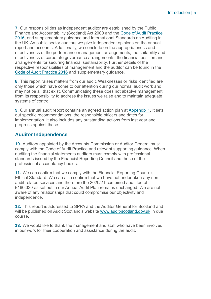**7.** Our responsibilities as independent auditor are established by the Public Finance and Accountability (Scotland) Act 2000 and the [Code of Audit Practice](https://www.audit-scotland.gov.uk/report/code-of-audit-practice-2016)  [2016,](https://www.audit-scotland.gov.uk/report/code-of-audit-practice-2016) and supplementary guidance and International Standards on Auditing in the UK. As public sector auditors we give independent opinions on the annual report and accounts. Additionally, we conclude on the appropriateness and effectiveness of the performance management arrangements, the suitability and effectiveness of corporate governance arrangements, the financial position and arrangements for securing financial sustainability. Further details of the respective responsibilities of management and the auditor can be found in the [Code of Audit Practice 2016](https://www.audit-scotland.gov.uk/report/code-of-audit-practice-2016) and supplementary guidance.

**8.** This report raises matters from our audit. Weaknesses or risks identified are only those which have come to our attention during our normal audit work and may not be all that exist. Communicating these does not absolve management from its responsibility to address the issues we raise and to maintain adequate systems of control.

**9.** Our annual audit report contains an agreed action plan at [Appendix 1.](#page-20-0) It sets out specific recommendations, the responsible officers and dates for implementation. It also includes any outstanding actions from last year and progress against these.

### **Auditor Independence**

**10.** Auditors appointed by the Accounts Commission or Auditor General must comply with the Code of Audit Practice and relevant supporting guidance. When auditing the financial statements auditors must comply with professional standards issued by the Financial Reporting Council and those of the professional accountancy bodies.

**11.** We can confirm that we comply with the Financial Reporting Council's Ethical Standard. We can also confirm that we have not undertaken any nonaudit related services and therefore the 2020/21 combined audit fee of £160,330 as set out in our Annual Audit Plan remains unchanged. We are not aware of any relationships that could compromise our objectivity and independence.

**12.** This report is addressed to SPPA and the Auditor General for Scotland and will be published on Audit Scotland's website [www.audit-scotland.gov.uk](http://www.audit-scotland.gov.uk/) in due course.

**13.** We would like to thank the management and staff who have been involved in our work for their cooperation and assistance during the audit.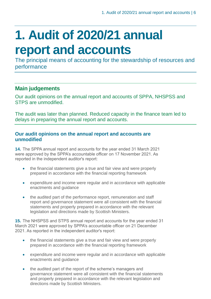## <span id="page-5-0"></span>**1. Audit of 2020/21 annual report and accounts**

The principal means of accounting for the stewardship of resources and performance

### **Main judgements**

Our audit opinions on the annual report and accounts of SPPA, NHSPSS and STPS are unmodified.

The audit was later than planned. Reduced capacity in the finance team led to delays in preparing the annual report and accounts.

### **Our audit opinions on the annual report and accounts are unmodified**

**14.** The SPPA annual report and accounts for the year ended 31 March 2021 were approved by the SPPA's accountable officer on 17 November 2021. As reported in the independent auditor's report:

- the financial statements give a true and fair view and were properly prepared in accordance with the financial reporting framework
- expenditure and income were regular and in accordance with applicable enactments and guidance
- the audited part of the performance report, remuneration and staff report and governance statement were all consistent with the financial statements and properly prepared in accordance with the relevant legislation and directions made by Scottish Ministers.

**15.** The NHSPSS and STPS annual report and accounts for the year ended 31 March 2021 were approved by SPPA's accountable officer on 21 December 2021. As reported in the independent auditor's report:

- the financial statements give a true and fair view and were properly prepared in accordance with the financial reporting framework
- expenditure and income were regular and in accordance with applicable enactments and guidance
- the audited part of the report of the scheme's managers and governance statement were all consistent with the financial statements and properly prepared in accordance with the relevant legislation and directions made by Scottish Ministers.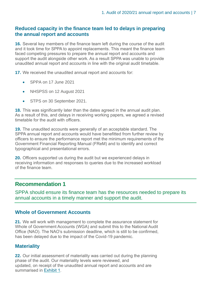### **Reduced capacity in the finance team led to delays in preparing the annual report and accounts**

**16.** Several key members of the finance team left during the course of the audit and it took time for SPPA to appoint replacements. This meant the finance team faced competing pressures to prepare the annual report and accounts and support the audit alongside other work. As a result SPPA was unable to provide unaudited annual report and accounts in line with the original audit timetable.

**17.** We received the unaudited annual report and accounts for:

- SPPA on 17 June 2021
- NHSPSS on 12 August 2021
- STPS on 30 September 2021.

**18.** This was significantly later than the dates agreed in the annual audit plan. As a result of this, and delays in receiving working papers, we agreed a revised timetable for the audit with officers.

**19.** The unaudited accounts were generally of an acceptable standard. The SPPA annual report and accounts would have benefitted from further review by officers to ensure the performance report met the minimum requirements of the Government Financial Reporting Manual (FReM) and to identify and correct typographical and presentational errors.

**20.** Officers supported us during the audit but we experienced delays in receiving information and responses to queries due to the increased workload of the finance team.

### **Recommendation 1**

SPPA should ensure its finance team has the resources needed to prepare its annual accounts in a timely manner and support the audit.

### **Whole of Government Accounts**

**21.** We will work with management to complete the assurance statement for Whole of Government Accounts (WGA) and submit this to the National Audit Office (NAO). The NAO's submission deadline, which is still to be confirmed, has been delayed due to the impact of the Covid-19 pandemic.

### **Materiality**

**22.** Our initial assessment of materiality was carried out during the planning phase of the audit. Our materiality levels were reviewed, and updated, on receipt of the unaudited annual report and accounts and are summarised in [Exhibit](#page-7-0) 1.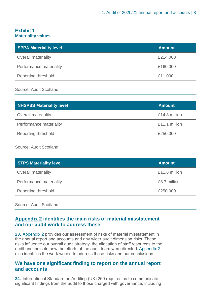### <span id="page-7-0"></span>**Exhibit 1 Materiality values**

| <b>SPPA Materiality level</b> | <b>Amount</b> |
|-------------------------------|---------------|
| <b>Overall materiality</b>    | £214,000      |
| Performance materiality       | £160,000      |
| <b>Reporting threshold</b>    | £11,000       |

### Source: Audit Scotland

| <b>NHSPSS Materiality level</b> | <b>Amount</b> |
|---------------------------------|---------------|
| <b>Overall materiality</b>      | £14.8 million |
| Performance materiality         | £11.1 million |
| Reporting threshold             | £250,000      |
|                                 |               |

### Source: Audit Scotland

| <b>STPS Materiality level</b> | <b>Amount</b> |
|-------------------------------|---------------|
| <b>Overall materiality</b>    | £11.6 million |
| Performance materiality       | £8.7 million  |
| Reporting threshold           | £250,000      |

Source: Audit Scotland

### **[Appendix 2](#page-27-0) identifies the main risks of material misstatement and our audit work to address these**

**23.** [Appendix 2](#page-27-0) provides our assessment of risks of material misstatement in the annual report and accounts and any wider audit dimension risks. These risks influence our overall audit strategy, the allocation of staff resources to the audit and indicate how the efforts of the audit team were directed. [Appendix 2](#page-27-0) also identifies the work we did to address these risks and our conclusions.

### **We have one significant finding to report on the annual report and accounts**

**24.** International Standard on Auditing (UK) 260 requires us to communicate significant findings from the audit to those charged with governance, including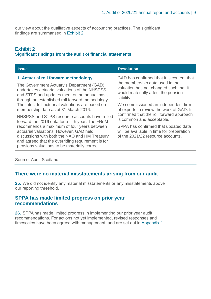<span id="page-8-0"></span>our view about the qualitative aspects of accounting practices. The significant findings are summarised in [Exhibit](#page-8-0) 2.

### **Exhibit 2**

### **Significant findings from the audit of financial statements**

| <b>Issue</b>                                                                                                                                                                                                                                                                                | <b>Resolution</b>                                                                                                              |  |
|---------------------------------------------------------------------------------------------------------------------------------------------------------------------------------------------------------------------------------------------------------------------------------------------|--------------------------------------------------------------------------------------------------------------------------------|--|
| 1. Actuarial roll forward methodology                                                                                                                                                                                                                                                       | GAD has confirmed that it is content that                                                                                      |  |
| The Government Actuary's Department (GAD)<br>undertakes actuarial valuations of the NHSPSS<br>and STPS and updates them on an annual basis<br>through an established roll forward methodology.<br>The latest full actuarial valuations are based on<br>membership data as at 31 March 2016. | the membership data used in the<br>valuation has not changed such that it<br>would materially affect the pension<br>liability. |  |
|                                                                                                                                                                                                                                                                                             | We commissioned an independent firm<br>of experts to review the work of GAD. It                                                |  |
| NHSPSS and STPS resource accounts have rolled<br>forward the 2016 data for a fifth year. The FReM                                                                                                                                                                                           | confirmed that the roll forward approach<br>is common and acceptable.                                                          |  |
| recommends a maximum of four years between<br>actuarial valuations. However, GAD held<br>discussions with both the NAO and HM Treasury<br>and agreed that the overriding requirement is for<br>pensions valuations to be materially correct.                                                | SPPA has confirmed that updated data<br>will be available in time for preparation<br>of the 2021/22 resource accounts.         |  |

### Source: Audit Scotland

### **There were no material misstatements arising from our audit**

**25.** We did not identify any material misstatements or any misstatements above our reporting threshold.

### **SPPA has made limited progress on prior year recommendations**

**26.** SPPA has made limited progress in implementing our prior year audit recommendations. For actions not yet implemented, revised responses and timescales have been agreed with management, and are set out in [Appendix 1.](#page-20-0)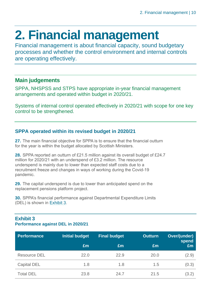## <span id="page-9-0"></span>**2. Financial management**

Financial management is about financial capacity, sound budgetary processes and whether the control environment and internal controls are operating effectively.

### **Main judgements**

SPPA, NHSPSS and STPS have appropriate in-year financial management arrangements and operated within budget in 2020/21.

Systems of internal control operated effectively in 2020/21 with scope for one key control to be strengthened.

### **SPPA operated within its revised budget in 2020/21**

**27.** The main financial objective for SPPA is to ensure that the financial outturn for the year is within the budget allocated by Scottish Ministers.

**28.** SPPA reported an outturn of £21.5 million against its overall budget of £24.7 million for 2020/21 with an underspend of £3.2 million. The resource underspend is mainly due to lower than expected staff costs due to a recruitment freeze and changes in ways of working during the Covid-19 pandemic.

**29.** The capital underspend is due to lower than anticipated spend on the replacement pensions platform project.

**30.** SPPA's financial performance against Departmental Expenditure Limits (DEL) is shown in [Exhibit](#page-9-1) 3.

### <span id="page-9-1"></span>**Exhibit 3 Performance against DEL in 2020/21**

| <b>Performance</b>  | <b>Initial budget</b> | <b>Final budget</b> | <b>Outturn</b> | Over/(under)<br>spend |
|---------------------|-----------------------|---------------------|----------------|-----------------------|
|                     | £m                    | Em                  | £m             | Em                    |
| <b>Resource DEL</b> | 22.0                  | 22.9                | 20.0           | (2.9)                 |
| <b>Capital DEL</b>  | 1.8                   | 1.8                 | 1.5            | (0.3)                 |
| <b>Total DEL</b>    | 23.8                  | 24.7                | 21.5           | (3.2)                 |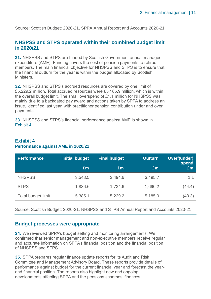Source: Scottish Budget: 2020-21, SPPA Annual Report and Accounts 2020-21

### **NHSPSS and STPS operated within their combined budget limit in 2020/21**

**31.** NHSPSS and STPS are funded by Scottish Government annual managed expenditure (AME). Funding covers the cost of pension payments to retired members. The main financial objective for NHSPSS and STPS is to ensure that the financial outturn for the year is within the budget allocated by Scottish Ministers.

**32.** NHSPSS and STPS's accrued resources are covered by one limit of £5,229.2 million. Total accrued resources were £5,185.9 million, which is within the overall budget limit. The small overspend of £1.1 million for NHSPSS was mainly due to a backdated pay award and actions taken by SPPA to address an issue, identified last year, with practitioner pension contribution under and over payments.

**33.** NHSPSS and STPS's financial performance against AME is shown in [Exhibit](#page-9-1) 4.

| <b>Performance</b> | <b>Initial budget</b> | <b>Final budget</b> | <b>Outturn</b> | Over/(under)<br>spend |
|--------------------|-----------------------|---------------------|----------------|-----------------------|
|                    | £m                    | Em                  | £m             | £m                    |
| <b>NHSPSS</b>      | 3,548.5               | 3,494.6             | 3,495.7        | 1.1                   |
| <b>STPS</b>        | 1,836.6               | 1,734.6             | 1,690.2        | (44.4)                |
| Total budget limit | 5,385.1               | 5,229.2             | 5,185.9        | (43.3)                |

### **Exhibit 4 Performance against AME in 2020/21**

Source: Scottish Budget: 2020-21, NHSPSS and STPS Annual Report and Accounts 2020-21

### **Budget processes were appropriate**

**34.** We reviewed SPPA's budget setting and monitoring arrangements. We confirmed that senior management and non-executive members receive regular and accurate information on SPPA's financial position and the financial position of NHSPSS and STPS.

**35.** SPPA prepares regular finance update reports for its Audit and Risk Committee and Management Advisory Board. These reports provide details of performance against budget for the current financial year and forecast the yearend financial position. The reports also highlight new and ongoing developments affecting SPPA and the pensions schemes' finances.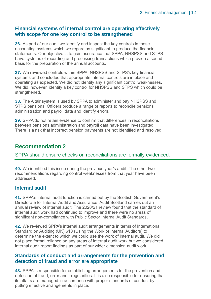### **Financial systems of internal control are operating effectively with scope for one key control to be strengthened**

**36.** As part of our audit we identify and inspect the key controls in those accounting systems which we regard as significant to produce the financial statements. Our objective is to gain assurance that SPPA, NHSPSS and STPS have systems of recording and processing transactions which provide a sound basis for the preparation of the annual accounts.

**37.** We reviewed controls within SPPA, NHSPSS and STPS's key financial systems and concluded that appropriate internal controls are in place and operating as expected. We did not identify any significant control weaknesses. We did, however, identify a key control for NHSPSS and STPS which could be strengthened.

**38.** The Altair system is used by SPPA to administer and pay NHSPSS and STPS pensions. Officers produce a range of reports to reconcile pensions administration and payroll data and identify errors.

**39.** SPPA do not retain evidence to confirm that differences in reconciliations between pensions administration and payroll data have been investigated. There is a risk that incorrect pension payments are not identified and resolved.

### **Recommendation 2**

SPPA should ensure checks on reconciliations are formally evidenced.

**40.** We identified this issue during the previous year's audit. The other two recommendations regarding control weaknesses from that year have been addressed.

### **Internal audit**

**41.** SPPA's internal audit function is carried out by the Scottish Government's Directorate for Internal Audit and Assurance. Audit Scotland carries out an annual review of internal audit. The 2020/21 review found that the standard of internal audit work had continued to improve and there were no areas of significant non-compliance with Public Sector Internal Audit Standards.

**42.** We reviewed SPPA's internal audit arrangements in terms of International Standard on Auditing (UK) 610 (Using the Work of Internal Auditors) to determine the extent to which we could use the work of internal audit. We did not place formal reliance on any areas of internal audit work but we considered internal audit report findings as part of our wider dimension audit work.

### **Standards of conduct and arrangements for the prevention and detection of fraud and error are appropriate**

**43.** SPPA is responsible for establishing arrangements for the prevention and detection of fraud, error and irregularities. It is also responsible for ensuring that its affairs are managed in accordance with proper standards of conduct by putting effective arrangements in place.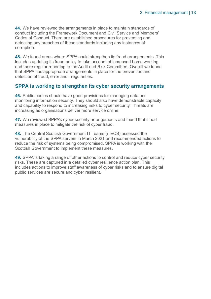**44.** We have reviewed the arrangements in place to maintain standards of conduct including the Framework Document and Civil Service and Members' Codes of Conduct. There are established procedures for preventing and detecting any breaches of these standards including any instances of corruption.

**45.** We found areas where SPPA could strengthen its fraud arrangements. This includes updating its fraud policy to take account of increased home working and more regular reporting to the Audit and Risk Committee. Overall we found that SPPA has appropriate arrangements in place for the prevention and detection of fraud, error and irregularities.

### **SPPA is working to strengthen its cyber security arrangements**

**46.** Public bodies should have good provisions for managing data and monitoring information security. They should also have demonstrable capacity and capability to respond to increasing risks to cyber security. Threats are increasing as organisations deliver more service online.

**47.** We reviewed SPPA's cyber security arrangements and found that it had measures in place to mitigate the risk of cyber fraud.

**48.** The Central Scottish Government IT Teams (iTECS) assessed the vulnerability of the SPPA servers in March 2021 and recommended actions to reduce the risk of systems being compromised. SPPA is working with the Scottish Government to implement these measures.

**49.** SPPA is taking a range of other actions to control and reduce cyber security risks. These are captured in a detailed cyber resilience action plan. This includes actions to improve staff awareness of cyber risks and to ensure digital public services are secure and cyber resilient.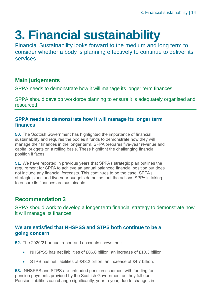## <span id="page-13-0"></span>**3. Financial sustainability**

Financial Sustainability looks forward to the medium and long term to consider whether a body is planning effectively to continue to deliver its services

### **Main judgements**

SPPA needs to demonstrate how it will manage its longer term finances.

SPPA should develop workforce planning to ensure it is adequately organised and resourced.

### **SPPA needs to demonstrate how it will manage its longer term finances**

**50.** The Scottish Government has highlighted the importance of financial sustainability and requires the bodies it funds to demonstrate how they will manage their finances in the longer term. SPPA prepares five-year revenue and capital budgets on a rolling basis. These highlight the challenging financial position it faces.

**51.** We have reported in previous years that SPPA's strategic plan outlines the requirement for SPPA to achieve an annual balanced financial position but does not include any financial forecasts. This continues to be the case. SPPA's strategic plans and five-year budgets do not set out the actions SPPA is taking to ensure its finances are sustainable.

### **Recommendation 3**

SPPA should work to develop a longer term financial strategy to demonstrate how it will manage its finances.

### **We are satisfied that NHSPSS and STPS both continue to be a going concern**

**52.** The 2020/21 annual report and accounts shows that:

- NHSPSS has net liabilities of £86.8 billion, an increase of £10.3 billion
- STPS has net liabilities of £48.2 billion, an increase of £4.7 billion.

**53.** NHSPSS and STPS are unfunded pension schemes, with funding for pension payments provided by the Scottish Government as they fall due. Pension liabilities can change significantly, year to year, due to changes in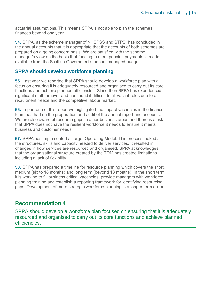actuarial assumptions. This means SPPA is not able to plan the schemes finances beyond one year.

**54.** SPPA, as the scheme manager of NHSPSS and STPS, has concluded in the annual accounts that it is appropriate that the accounts of both schemes are prepared on a going concern basis. We are satisfied with the scheme manager's view on the basis that funding to meet pension payments is made available from the Scottish Government's annual managed budget.

### **SPPA should develop workforce planning**

**55.** Last year we reported that SPPA should develop a workforce plan with a focus on ensuring it is adequately resourced and organised to carry out its core functions and achieve planned efficiencies. Since then SPPA has experienced significant staff turnover and has found it difficult to fill vacant roles due to a recruitment freeze and the competitive labour market.

**56.** In part one of this report we highlighted the impact vacancies in the finance team has had on the preparation and audit of the annual report and accounts. We are also aware of resource gaps in other business areas and there is a risk that SPPA does not have the resilient workforce it needs to ensure it meets business and customer needs.

**57.** SPPA has implemented a Target Operating Model. This process looked at the structures, skills and capacity needed to deliver services. It resulted in changes in how services are resourced and organised. SPPA acknowledges that the organisational structure created by the TOM has created limitations including a lack of flexibility.

**58.** SPPA has prepared a timeline for resource planning which covers the short, medium (six to 18 months) and long term (beyond 18 months). In the short term it is working to fill business critical vacancies, provide managers with workforce planning training and establish a reporting framework for identifying resourcing gaps. Development of more strategic workforce planning is a longer term action.

### **Recommendation 4**

SPPA should develop a workforce plan focused on ensuring that it is adequately resourced and organised to carry out its core functions and achieve planned efficiencies.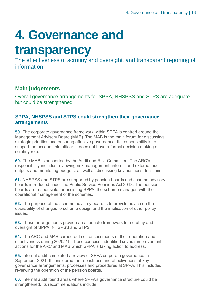## <span id="page-15-0"></span>**4. Governance and**

### **transparency**

The effectiveness of scrutiny and oversight, and transparent reporting of information

### **Main judgements**

Overall governance arrangements for SPPA, NHSPSS and STPS are adequate but could be strengthened.

### **SPPA, NHSPSS and STPS could strengthen their governance arrangements**

**59.** The corporate governance framework within SPPA is centred around the Management Advisory Board (MAB). The MAB is the main forum for discussing strategic priorities and ensuring effective governance. Its responsibility is to support the accountable officer. It does not have a formal decision making or scrutiny role.

**60.** The MAB is supported by the Audit and Risk Committee. The ARC's responsibility includes reviewing risk management, internal and external audit outputs and monitoring budgets, as well as discussing key business decisions.

**61.** NHSPSS and STPS are supported by pension boards and scheme advisory boards introduced under the Public Service Pensions Act 2013. The pension boards are responsible for assisting SPPA, the scheme manager, with the operational management of the schemes.

**62.** The purpose of the scheme advisory board is to provide advice on the desirability of changes to scheme design and the implication of other policy issues.

**63.** These arrangements provide an adequate framework for scrutiny and oversight of SPPA, NHSPSS and STPS.

**64.** The ARC and MAB carried out self-assessments of their operation and effectiveness during 2020/21. These exercises identified several improvement actions for the ARC and MAB which SPPA is taking action to address.

**65.** Internal audit completed a review of SPPA corporate governance in September 2021. It considered the robustness and effectiveness of key governance arrangements, processes and procedures at SPPA. This included reviewing the operation of the pension boards.

**66.** Internal audit found areas where SPPA's governance structure could be strengthened. Its recommendations include: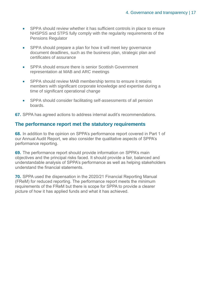- SPPA should review whether it has sufficient controls in place to ensure NHSPSS and STPS fully comply with the regularity requirements of the Pensions Regulator
- SPPA should prepare a plan for how it will meet key governance document deadlines, such as the business plan, strategic plan and certificates of assurance
- SPPA should ensure there is senior Scottish Government representation at MAB and ARC meetings
- SPPA should review MAB membership terms to ensure it retains members with significant corporate knowledge and expertise during a time of significant operational change
- SPPA should consider facilitating self-assessments of all pension boards.

**67.** SPPA has agreed actions to address internal audit's recommendations.

### **The performance report met the statutory requirements**

**68.** In addition to the opinion on SPPA's performance report covered in Part 1 of our Annual Audit Report, we also consider the qualitative aspects of SPPA's performance reporting.

**69.** The performance report should provide information on SPPA's main objectives and the principal risks faced. It should provide a fair, balanced and understandable analysis of SPPA's performance as well as helping stakeholders understand the financial statements.

**70.** SPPA used the dispensation in the 2020/21 Financial Reporting Manual (FReM) for reduced reporting. The performance report meets the minimum requirements of the FReM but there is scope for SPPA to provide a clearer picture of how it has applied funds and what it has achieved.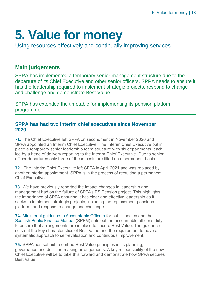## <span id="page-17-0"></span>**5. Value for money**

Using resources effectively and continually improving services

### **Main judgements**

SPPA has implemented a temporary senior management structure due to the departure of its Chief Executive and other senior officers. SPPA needs to ensure it has the leadership required to implement strategic projects, respond to change and challenge and demonstrate Best Value.

SPPA has extended the timetable for implementing its pension platform programme.

### **SPPA has had two interim chief executives since November 2020**

**71.** The Chief Executive left SPPA on secondment in November 2020 and SPPA appointed an Interim Chief Executive. The Interim Chief Executive put in place a temporary senior leadership team structure with six departments, each led by a head of delivery reporting to the Interim Chief Executive. Due to senior officer departures only three of these posts are filled on a permanent basis.

**72.** The Interim Chief Executive left SPPA in April 2021 and was replaced by another interim appointment. SPPA is in the process of recruiting a permanent Chief Executive.

**73.** We have previously reported the impact changes in leadership and management had on the failure of SPPA's PS Pension project. This highlights the importance of SPPA ensuring it has clear and effective leadership as it seeks to implement strategic projects, including the replacement pensions platform, and respond to change and challenge.

**74.** [Ministerial guidance to Accountable Officers](https://www.gov.scot/publications/best-value-public-services-guidance-accountable-officers/) for public bodies and the [Scottish Public Finance Manual](https://www.gov.scot/publications/scottish-public-finance-manual/best-value/best-value/) (SPFM) sets out the accountable officer's duty to ensure that arrangements are in place to secure Best Value. The guidance sets out the key characteristics of Best Value and the requirement to have a systematic approach to self-evaluation and continuous improvement.

**75.** SPPA has set out to embed Best Value principles in its planning, governance and decision-making arrangements. A key responsibility of the new Chief Executive will be to take this forward and demonstrate how SPPA secures Best Value.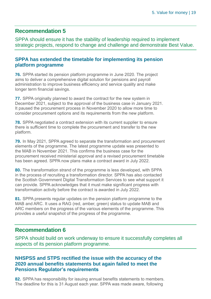### **Recommendation 5**

SPPA should ensure it has the stability of leadership required to implement strategic projects, respond to change and challenge and demonstrate Best Value.

### **SPPA has extended the timetable for implementing its pension platform programme**

**76.** SPPA started its pension platform programme in June 2020. The project aims to deliver a comprehensive digital solution for pensions and payroll administration to improve business efficiency and service quality and make longer term financial savings.

**77.** SPPA originally planned to award the contract for the new system in December 2021, subject to the approval of the business case in January 2021. It paused the procurement process in November 2020 to allow more time to consider procurement options and its requirements from the new platform.

**78.** SPPA negotiated a contract extension with its current supplier to ensure there is sufficient time to complete the procurement and transfer to the new platform.

**79.** In May 2021, SPPA agreed to separate the transformation and procurement elements of the programme. The latest programme update was presented to the MAB in November 2021. This confirms the business case for the procurement received ministerial approval and a revised procurement timetable has been agreed. SPPA now plans make a contract award in July 2022.

**80.** The transformation strand of the programme is less developed, with SPPA in the process of recruiting a transformation director. SPPA has also contacted the Scottish Government Digital Transformation Services to see what support it can provide. SPPA acknowledges that it must make significant progress with transformation activity before the contract is awarded in July 2022.

**81.** SPPA presents regular updates on the pension platform programme to the MAB and ARC. It uses a RAG (red, amber, green) status to update MAB and ARC members on the progress of the various elements of the programme. This provides a useful snapshot of the progress of the programme.

### **Recommendation 6**

SPPA should build on work underway to ensure it successfully completes all aspects of its pension platform programme.

### **NHSPSS and STPS rectified the issue with the accuracy of the 2020 annual benefits statements but again failed to meet the Pensions Regulator's requirements**

**82.** SPPA has responsibility for issuing annual benefits statements to members. The deadline for this is 31 August each year. SPPA was made aware, following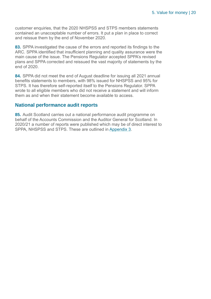customer enquiries, that the 2020 NHSPSS and STPS members statements contained an unacceptable number of errors. It put a plan in place to correct and reissue them by the end of November 2020.

**83.** SPPA investigated the cause of the errors and reported its findings to the ARC. SPPA identified that insufficient planning and quality assurance were the main cause of the issue. The Pensions Regulator accepted SPPA's revised plans and SPPA corrected and reissued the vast majority of statements by the end of 2020.

**84.** SPPA did not meet the end of August deadline for issuing all 2021 annual benefits statements to members, with 98% issued for NHSPSS and 95% for STPS. It has therefore self-reported itself to the Pensions Regulator. SPPA wrote to all eligible members who did not receive a statement and will inform them as and when their statement become available to access.

### **National performance audit reports**

**85.** Audit Scotland carries out a national performance audit programme on behalf of the Accounts Commission and the Auditor General for Scotland. In 2020/21 a number of reports were published which may be of direct interest to SPPA, NHSPSS and STPS. These are outlined in [Appendix 3](#page-31-0).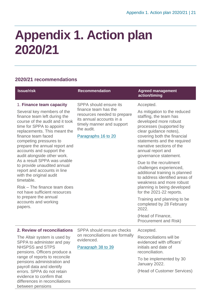## <span id="page-20-0"></span>**Appendix 1. Action plan 2020/21**

### **2020/21 recommendations**

between pensions

| <b>Issue/risk</b>                                                                                                                                                                                                                                                                                                                                                                                                                                                                                                                                                                                    | <b>Recommendation</b>                                                                                                                                                       | <b>Agreed management</b><br>action/timing                                                                                                                                                                                                                                                                                                                                                                                                                                                                                                                                                                                    |
|------------------------------------------------------------------------------------------------------------------------------------------------------------------------------------------------------------------------------------------------------------------------------------------------------------------------------------------------------------------------------------------------------------------------------------------------------------------------------------------------------------------------------------------------------------------------------------------------------|-----------------------------------------------------------------------------------------------------------------------------------------------------------------------------|------------------------------------------------------------------------------------------------------------------------------------------------------------------------------------------------------------------------------------------------------------------------------------------------------------------------------------------------------------------------------------------------------------------------------------------------------------------------------------------------------------------------------------------------------------------------------------------------------------------------------|
| 1. Finance team capacity<br>Several key members of the<br>finance team left during the<br>course of the audit and it took<br>time for SPPA to appoint<br>replacements. This meant the<br>finance team faced<br>competing pressures to<br>prepare the annual report and<br>accounts and support the<br>audit alongside other work.<br>As a result SPPA was unable<br>to provide unaudited annual<br>report and accounts in line<br>with the original audit<br>timetable.<br>Risk - The finance team does<br>not have sufficient resources<br>to prepare the annual<br>accounts and working<br>papers. | SPPA should ensure its<br>finance team has the<br>resources needed to prepare<br>its annual accounts in a<br>timely manner and support<br>the audit.<br>Paragraphs 16 to 20 | Accepted.<br>As mitigation to the reduced<br>staffing, the team has<br>developed more robust<br>processes (supported by<br>clear guidance notes),<br>covering both the financial<br>statements and the required<br>narrative sections of the<br>annual report and<br>governance statement.<br>Due to the recruitment<br>challenges experienced,<br>additional training is planned<br>to address identified areas of<br>weakness and more robust<br>planning is being developed<br>for the 2021-22 reports.<br>Training and planning to be<br>completed by 28 February<br>2022.<br>(Head of Finance,<br>Procurement and Risk) |
| 2. Review of reconciliations<br>The Altair system is used by<br>SPPA to administer and pay<br><b>NHSPSS and STPS</b><br>pensions. Officers produce a<br>range of reports to reconcile<br>pensions administration and<br>payroll data and identify<br>errors. SPPA do not retain<br>evidence to confirm that<br>differences in reconciliations                                                                                                                                                                                                                                                        | SPPA should ensure checks<br>on reconciliations are formally<br>evidenced.<br>Paragraph 38 to 39                                                                            | Accepted.<br>Reconciliations will be<br>evidenced with officers'<br>initials and date of<br>reconciliation.<br>To be implemented by 30<br>January 2022.<br>(Head of Customer Services)                                                                                                                                                                                                                                                                                                                                                                                                                                       |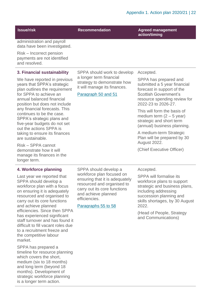**Issue/risk Recommendation Agreed management action/timing**

administration and payroll data have been investigated.

Risk – Incorrect pension payments are not identified and resolved.

### **3. Financial sustainability**

We have reported in previous years that SPPA's strategic plan outlines the requirement for SPPA to achieve an annual balanced financial position but does not include any financial forecasts. This continues to be the case. SPPA's strategic plans and five-year budgets do not set out the actions SPPA is taking to ensure its finances are sustainable.

Risk – SPPA cannot demonstrate how it will manage its finances in the longer term.

#### **4. Workforce planning**

Last year we reported that SPPA should develop a workforce plan with a focus on ensuring it is adequately resourced and organised to carry out its core functions and achieve planned efficiencies. Since then SPPA has experienced significant staff turnover and has found it difficult to fill vacant roles due to a recruitment freeze and the competitive labour market.

SPPA has prepared a timeline for resource planning which covers the short, medium (six to 18 months) and long term (beyond 18 months). Development of strategic workforce planning is a longer term action.

SPPA should work to develop a longer term financial strategy to demonstrate how it will manage its finances.

### Paragraph 50 and 51

SPPA should develop a workforce plan focused on ensuring that it is adequately resourced and organised to carry out its core functions

and achieve planned

Paragraphs 55 to 58

efficiencies.

Accepted.

SPPA has prepared and submitted a 5 year financial forecast in support of the Scottish Government's resource spending review for 2022-23 to 2026-27.

This will form the basis of medium term  $(2 - 5$  year) strategic and short term (annual) business planning.

A medium-term Strategic Plan will be prepared by 30 August 2022.

(Chief Executive Officer)

#### Accepted.

SPPA will formalise its workforce plans to support strategic and business plans, including addressing succession planning and skills shortages, by 30 August 2022.

(Head of People, Strategy and Communications)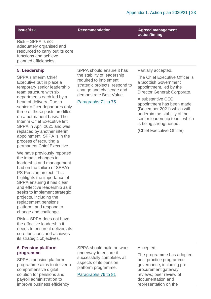SPPA should ensure it has the stability of leadership required to implement

strategic projects, respond to change and challenge and demonstrate Best Value.

Paragraphs 71 to 75

**Issue/risk Recommendation Agreed management action/timing**

Risk – SPPA is not adequately organised and resourced to carry out its core functions and achieve planned efficiencies.

#### **5. Leadership**

SPPA's Interim Chief Executive put in place a temporary senior leadership team structure with six departments each led by a head of delivery. Due to senior officer departures only three of these posts are filled on a permanent basis. The Interim Chief Executive left SPPA in April 2021 and was replaced by another interim appointment. SPPA is in the process of recruiting a permanent Chief Executive.

We have previously reported the impact changes in leadership and management had on the failure of SPPA's PS Pension project. This highlights the importance of SPPA ensuring it has clear and effective leadership as it seeks to implement strategic projects, including the replacement pensions platform, and respond to change and challenge.

Risk – SPPA does not have the effective leadership it needs to ensure it delivers its core functions and achieves its strategic objectives.

### **6. Pension platform programme**

SPPA's pension platform programme aims to deliver a comprehensive digital solution for pensions and payroll administration to improve business efficiency

SPPA should build on work underway to ensure it successfully completes all aspects of its pension platform programme.

Paragraphs 76 to 81

Partially accepted.

The Chief Executive Officer is a Scottish Government appointment, led by the Director General: Corporate.

A substantive CEO appointment has been made (December 2021) which will underpin the stability of the senior leadership team, which is being strengthened.

(Chief Executive Officer)

Accepted.

The programme has adopted best practice programme governance, including pre procurement gateway reviews; peer review of documentation and representation on the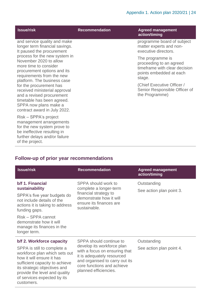| <b>Issue/risk</b>                                                                                                                                                                                                                                                                                                                                           | <b>Recommendation</b> | <b>Agreed management</b><br>action/timing                                                                                                                                                          |
|-------------------------------------------------------------------------------------------------------------------------------------------------------------------------------------------------------------------------------------------------------------------------------------------------------------------------------------------------------------|-----------------------|----------------------------------------------------------------------------------------------------------------------------------------------------------------------------------------------------|
| and service quality and make<br>longer term financial savings.<br>It paused the procurement                                                                                                                                                                                                                                                                 |                       | programme board of subject<br>matter experts and non-<br>executive directors.                                                                                                                      |
| process for the new system in<br>November 2020 to allow<br>more time to consider<br>procurement options and its<br>requirements from the new<br>platform. The business case<br>for the procurement has<br>received ministerial approval<br>and a revised procurement<br>timetable has been agreed.<br>SPPA now plans make a<br>contract award in July 2022. |                       | The programme is<br>proceeding to an agreed<br>timeframe with clear decision<br>points embedded at each<br>stage.<br>(Chief Executive Officer /<br>Senior Responsible Officer of<br>the Programme) |
| Risk – SPPA's project<br>management arrangements<br>for the new system prove to<br>be ineffective resulting in<br>further delays and/or failure<br>of the project.                                                                                                                                                                                          |                       |                                                                                                                                                                                                    |

### **Follow-up of prior year recommendations**

customers.

| <b>Issue/risk</b>                                                                                                                                                                                                                                  | <b>Recommendation</b>                                                                                                                                                              | <b>Agreed management</b><br>action/timing |
|----------------------------------------------------------------------------------------------------------------------------------------------------------------------------------------------------------------------------------------------------|------------------------------------------------------------------------------------------------------------------------------------------------------------------------------------|-------------------------------------------|
| b/f 1. Financial<br>sustainability<br>SPPA's five year budgets do<br>not include details of the<br>actions it is taking to address<br>funding gaps.<br>Risk – SPPA cannot<br>demonstrate how it will<br>manage its finances in the<br>longer term. | SPPA should work to<br>complete a longer-term<br>financial strategy to<br>demonstrate how it will<br>ensure its finances are<br>sustainable.                                       | Outstanding<br>See action plan point 3.   |
| b/f 2. Workforce capacity                                                                                                                                                                                                                          | SPPA should continue to                                                                                                                                                            | Outstanding                               |
| SPPA is still to complete a<br>workforce plan which sets out<br>how it will ensure it has<br>sufficient capacity to achieve<br>its strategic objectives and<br>provide the level and quality<br>of services expected by its                        | develop its workforce plan<br>with a focus on ensuring that<br>it is adequately resourced<br>and organised to carry out its<br>core functions and achieve<br>planned efficiencies. | See action plan point 4.                  |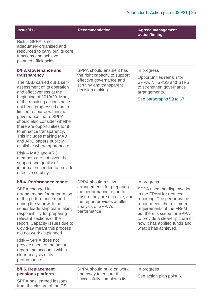**Issue/risk Recommendation Agreed management action/timing**

Risk – SPPA is not adequately organised and resourced to carry out its core functions and achieve planned efficiencies.

#### **b/f 3. Governance and transparency**

The MAB carried out a selfassessment of its operation and effectiveness at the beginning of 2019/20. Many of the resulting actions have not been progressed due to limited resource within the governance team. SPPA should also consider whether there are opportunities for it to enhance transparency. This includes making MAB and ARC papers publicly available where appropriate.

Risk – MAB and ARC members are not given the support and quality of information needed to provide effective scrutiny.

### **b/f 4. Performance report**

SPPA changed its arrangements for preparation of the performance report during the year with the senior leadership team taking responsibility for preparing relevant sections of the report. Capacity issues due to Covid-19 meant this process did not work as planned.

Risk – SPPA does not provide users of the annual report and accounts with a clear analysis of its performance.

### **b/f 5. Replacement pensions platform**

SPPA has learned lessons from the closure of the PS

SPPA should ensure it has the right capacity to support effective governance and scrutiny and transparent decision making.

In progress

Opportunities remain for SPPA, NHSPSS and STPS to strengthen governance arrangements.

See paragraphs 59 to 67.

SPPA should review arrangements for preparing the performance report to ensure they are effective, and the report provides a fuller analysis of SPPA's performance.

#### In progress

SPPA used the dispensation in the FReM for reduced reporting. The performance report meets the minimum requirements of the FReM but there is scope for SPPA to provide a clearer picture of how it has applied funds and what it has achieved.

SPPA should build on work underway to ensure it successfully completes its

In progress See action plan point 6.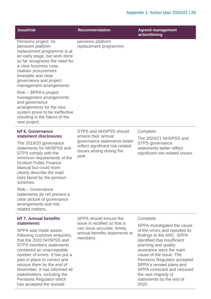| <b>Issue/risk</b>                                                                                                                                                                                                                                                                                                                                                 | <b>Recommendation</b>                                                                                                         | <b>Agreed management</b><br>action/timing                                                                                                                                                                                                                                                                                                              |
|-------------------------------------------------------------------------------------------------------------------------------------------------------------------------------------------------------------------------------------------------------------------------------------------------------------------------------------------------------------------|-------------------------------------------------------------------------------------------------------------------------------|--------------------------------------------------------------------------------------------------------------------------------------------------------------------------------------------------------------------------------------------------------------------------------------------------------------------------------------------------------|
| Pensions project. Its<br>pensions platform<br>replacement programme is at<br>an early stage, but work done<br>so far recognises the need for<br>a clear business case,<br>realistic procurement<br>timetable and clear<br>governance and project<br>management arrangements.                                                                                      | pensions platform<br>replacement programme.                                                                                   |                                                                                                                                                                                                                                                                                                                                                        |
| Risk – SPPA's project<br>management arrangements<br>and governance<br>arrangements for the new<br>system prove to be ineffective<br>resulting in the failure of the<br>new project.                                                                                                                                                                               |                                                                                                                               |                                                                                                                                                                                                                                                                                                                                                        |
| b/f 6. Governance                                                                                                                                                                                                                                                                                                                                                 | <b>STPS and NHSPSS should</b>                                                                                                 | Complete                                                                                                                                                                                                                                                                                                                                               |
| statement disclosures<br>The 2019/20 governance<br>statements for NHSPSS and<br>STPS comply with the<br>minimum requirements of the<br><b>Scottish Public Finance</b><br>Manual but could more<br>clearly describe the main<br>risks faced by the pension<br>schemes.                                                                                             | ensure their annual<br>governance statements better<br>reflect significant risk-related<br>issues arising during the<br>year. | The 2020/21 NHSPSS and<br><b>STPS</b> governance<br>statements better reflect<br>significant risk-related issues.                                                                                                                                                                                                                                      |
| Risk - Governance<br>statements do not present a<br>clear picture of governance<br>arrangements and risk-<br>related matters.                                                                                                                                                                                                                                     |                                                                                                                               |                                                                                                                                                                                                                                                                                                                                                        |
| b/f 7. Annual benefits                                                                                                                                                                                                                                                                                                                                            | SPPA should ensure the                                                                                                        | Complete                                                                                                                                                                                                                                                                                                                                               |
| <b>statements</b><br>SPPA was made aware,<br>following customer enquiries,<br>that the 2020 NHSPSS and<br><b>STPS members statements</b><br>contained an unacceptable<br>number of errors. It has put a<br>plan in place to correct and<br>reissue them by the end of<br>November. It has informed all<br>stakeholders, including the<br>Pensions Regulator which | issue is rectified so that is<br>can issue accurate, timely<br>annual benefits statements to<br>members.                      | SPPA investigated the cause<br>of the errors and reported its<br>findings to the ARC. SPPA<br>identified that insufficient<br>planning and quality<br>assurance were the main<br>cause of the issue. The<br>Pensions Regulator accepted<br>SPPA's revised plans and<br>SPPA corrected and reissued<br>the vast majority of<br>statements by the end of |

2020.

has accepted the revised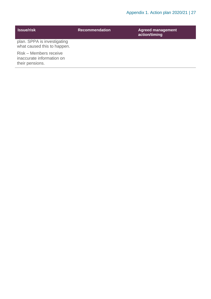| <b>Issue/risk</b>                                                      | <b>Recommendation</b> | <b>Agreed management</b><br>action/timing |
|------------------------------------------------------------------------|-----------------------|-------------------------------------------|
| plan. SPPA is investigating<br>what caused this to happen.             |                       |                                           |
| Risk – Members receive<br>inaccurate information on<br>their pensions. |                       |                                           |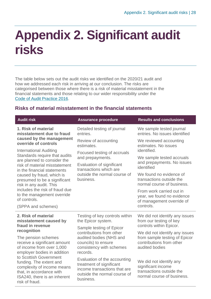## <span id="page-27-0"></span>**Appendix 2. Significant audit risks**

The table below sets out the audit risks we identified on the 2020/21 audit and how we addressed each risk in arriving at our conclusion. The risks are categorised between those where there is a risk of material misstatement in the financial statements and those relating to our wider responsibility under the [Code of Audit Practice 2016.](http://www.audit-scotland.gov.uk/report/code-of-audit-practice-2016)

### **Risks of material misstatement in the financial statements**

| <b>Audit risk</b>                                                                                                                                             | <b>Assurance procedure</b>                                                                                                                     | <b>Results and conclusions</b>                                                                                                                                                                                              |
|---------------------------------------------------------------------------------------------------------------------------------------------------------------|------------------------------------------------------------------------------------------------------------------------------------------------|-----------------------------------------------------------------------------------------------------------------------------------------------------------------------------------------------------------------------------|
| 1. Risk of material<br>misstatement due to fraud                                                                                                              | Detailed testing of journal<br>entries.                                                                                                        | We sample tested journal<br>entries. No issues identified                                                                                                                                                                   |
| caused by the management<br>override of controls                                                                                                              | Review of accounting<br>estimates.                                                                                                             | We reviewed accounting<br>estimates. No issues<br>identified.<br>We sample tested accruals<br>and prepayments. No issues<br>identified<br>We found no evidence of<br>transactions outside the<br>normal course of business. |
| <b>International Auditing</b><br>Standards require that audits<br>are planned to consider the<br>risk of material misstatement<br>in the financial statements | Focused testing of accruals                                                                                                                    |                                                                                                                                                                                                                             |
|                                                                                                                                                               | and prepayments.<br>Evaluation of significant<br>transactions which are<br>outside the normal course of<br>business.                           |                                                                                                                                                                                                                             |
| caused by fraud, which is<br>presumed to be a significant<br>risk in any audit. This                                                                          |                                                                                                                                                |                                                                                                                                                                                                                             |
| includes the risk of fraud due<br>to the management override<br>of controls.                                                                                  |                                                                                                                                                | From work carried out in<br>year, we found no evidence<br>of management override of                                                                                                                                         |
| (SPPA and schemes)                                                                                                                                            |                                                                                                                                                | controls.                                                                                                                                                                                                                   |
| 2. Risk of material<br>misstatement caused by                                                                                                                 | Testing of key controls within<br>the Epicor system.                                                                                           | We did not identify any issues<br>from our testing of key                                                                                                                                                                   |
| fraud in revenue<br>recognition                                                                                                                               | Sample testing of Epicor<br>contributions from other<br>audited bodies (NHS and<br>councils) to ensure<br>consistency with schemes<br>records. | controls within Epicor.                                                                                                                                                                                                     |
| The pension schemes<br>receive a significant amount<br>of income from over 1,000<br>employer bodies in addition                                               |                                                                                                                                                | We did not identify any issues<br>from sample testing of Epicor<br>contributions from other<br>audited bodies                                                                                                               |
| to Scottish Government<br>funding. The extent and<br>complexity of income means<br>that, in accordance with<br>ISA240, there is an inherent<br>risk of fraud. | Evaluation of the accounting<br>treatment of significant<br>income transactions that are<br>outside the normal course of<br>business.          | We did not identify any<br>significant income<br>transactions outside the<br>normal course of business.                                                                                                                     |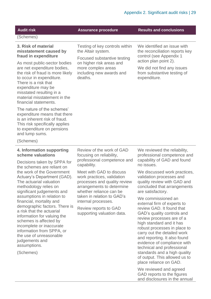| <b>Audit risk</b>                                                                                                                                                                                                                                                    | <b>Assurance procedure</b>                                                                                                                                                                          | <b>Results and conclusions</b>                                                                                                                                                                   |
|----------------------------------------------------------------------------------------------------------------------------------------------------------------------------------------------------------------------------------------------------------------------|-----------------------------------------------------------------------------------------------------------------------------------------------------------------------------------------------------|--------------------------------------------------------------------------------------------------------------------------------------------------------------------------------------------------|
| (Schemes)                                                                                                                                                                                                                                                            |                                                                                                                                                                                                     |                                                                                                                                                                                                  |
| 3. Risk of material<br>misstatement caused by<br>fraud in expenditure                                                                                                                                                                                                | Testing of key controls within<br>the Altair system.<br>Focused substantive testing<br>on higher risk areas and<br>more complex areas<br>including new awards and<br>deaths.                        | We identified an issue with<br>the reconciliation reports key<br>control (see Appendix 1                                                                                                         |
| As most public-sector bodies<br>are net expenditure bodies,<br>the risk of fraud is more likely<br>to occur in expenditure.<br>There is a risk that<br>expenditure may be<br>misstated resulting in a<br>material misstatement in the<br>financial statements.       |                                                                                                                                                                                                     | action plan point 2).<br>We did not find any issues<br>from substantive testing of<br>expenditure.                                                                                               |
| The nature of the schemes'<br>expenditure means that there<br>is an inherent risk of fraud.<br>This risk specifically applies<br>to expenditure on pensions<br>and lump sums.                                                                                        |                                                                                                                                                                                                     |                                                                                                                                                                                                  |
| (Schemes)                                                                                                                                                                                                                                                            |                                                                                                                                                                                                     |                                                                                                                                                                                                  |
| 4. Information supporting<br>scheme valuations<br>Decisions taken by SPPA for                                                                                                                                                                                        | Review of the work of GAD<br>focusing on reliability,<br>professional competence and<br>capability.                                                                                                 | We reviewed the reliability,<br>professional competence and<br>capability of GAD and found<br>no issues.                                                                                         |
| the schemes are reliant on<br>the work of the Government<br>Actuary's Department (GAD).<br>The actuarial valuation<br>methodology relies on<br>significant judgements and<br>assumptions in relation to<br>financial, mortality and<br>demographic factors. There is | Meet with GAD to discuss<br>work practices, validation<br>processes and quality review<br>arrangements to determine<br>whether reliance can be<br>taken in relation to GAD's<br>internal processes. | We discussed work practices,<br>validation processes and<br>quality review with GAD and<br>concluded that arrangements<br>are satisfactory.<br>We commissioned an<br>external firm of experts to |

demographic factors. Th a risk that the actuarial information for valuing the schemes is affected by incomplete or inaccurate information from SPPA, or the use of unreasonable judgements and assumptions.

Review reports to GAD supporting valuation data.

review GAD. It found that GAD's quality controls and review processes are of a high standard and it has robust processes in place to carry out the detailed work and reporting. It also found evidence of compliance with technical and professional standards and a high quality of output. This allowed us to place reliance on GAD.

We reviewed and agreed GAD reports to the figures and disclosures in the annual

(Schemes)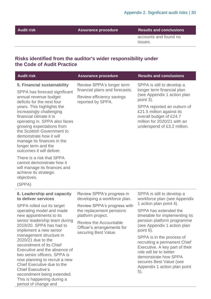Chief Executive's

period of change and

secondment being extended. This is happening during a

**Assurance procedure Results and conclusions** 

accounts and found no issues.

### **Risks identified from the auditor's wider responsibility under the Code of Audit Practice**

| <b>Audit risk</b>                                                                                                                                                                                                                                                                                                                                                                                                                              | <b>Assurance procedure</b>                                                                                                                                                                                                       | <b>Results and conclusions</b>                                                                                                                                                                                                                                                                                                                                           |
|------------------------------------------------------------------------------------------------------------------------------------------------------------------------------------------------------------------------------------------------------------------------------------------------------------------------------------------------------------------------------------------------------------------------------------------------|----------------------------------------------------------------------------------------------------------------------------------------------------------------------------------------------------------------------------------|--------------------------------------------------------------------------------------------------------------------------------------------------------------------------------------------------------------------------------------------------------------------------------------------------------------------------------------------------------------------------|
| 5. Financial sustainability<br>SPPA has forecast significant<br>annual revenue budget<br>deficits for the next four<br>years. This highlights the<br>increasingly challenging<br>financial climate it is<br>operating in. SPPA also faces<br>growing expectations from<br>the Scottish Government to<br>demonstrate how it will<br>manage its finances in the<br>longer term and the<br>outcomes it will deliver.<br>There is a risk that SPPA | Review SPPA's longer term<br>financial plans and forecasts.<br>Review efficiency savings<br>reported by SPPA.                                                                                                                    | SPPA is still to develop a<br>longer term financial plan<br>(see Appendix 1 action plan<br>point 3).<br>SPPA reported an outturn of<br>£21.5 million against its<br>overall budget of £24.7<br>million for 2020/21 with an<br>underspend of £3.2 million.                                                                                                                |
| cannot demonstrate how it<br>will manage its finances and<br>achieve its strategic<br>objectives.<br>(SPPA)                                                                                                                                                                                                                                                                                                                                    |                                                                                                                                                                                                                                  |                                                                                                                                                                                                                                                                                                                                                                          |
| 6. Leadership and capacity<br>to deliver services                                                                                                                                                                                                                                                                                                                                                                                              | Review SPPA's progress in<br>developing a workforce plan.<br>Review SPPA's progress with<br>the replacement pensions<br>platform project.<br><b>Review the Accountable</b><br>Officer's arrangements for<br>securing Best Value. | SPPA is still to develop a<br>workforce plan (see Appendix                                                                                                                                                                                                                                                                                                               |
| SPPA rolled out its target<br>operating model and made<br>new appointments to its<br>senior leadership team during<br>2019/20. SPPA has had to<br>implement a new senior<br>management structure in<br>2020/21 due to the<br>secondment of its Chief<br>Executive and the absence of<br>two senior officers. SPPA is<br>now planning to recruit a new<br>Chief Executive due to the                                                            |                                                                                                                                                                                                                                  | 1 action plan point 4).<br>SPPA has extended the<br>timetable for implementing its<br>pension platform programme<br>(see Appendix 1 action plan<br>point 6).<br>SPPA is in the process of<br>recruiting a permanent Chief<br>Executive. A key part of their<br>role will be to better<br>demonstrate how SPPA<br>secures Best Value (see<br>Appendix 1 action plan point |

5).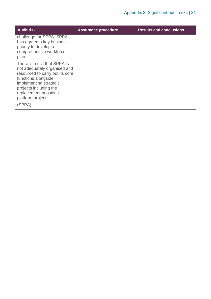| <b>Audit risk</b>                                                                                                                                                                                                                 | <b>Assurance procedure</b> | <b>Results and conclusions</b> |
|-----------------------------------------------------------------------------------------------------------------------------------------------------------------------------------------------------------------------------------|----------------------------|--------------------------------|
| challenge for SPPA. SPPA<br>has agreed a key business<br>priority to develop a<br>comprehensive workforce<br>plan.                                                                                                                |                            |                                |
| There is a risk that SPPA is<br>not adequately organised and<br>resourced to carry out its core<br>functions alongside<br>implementing strategic<br>projects including the<br>replacement pensions<br>platform project.<br>(SPPA) |                            |                                |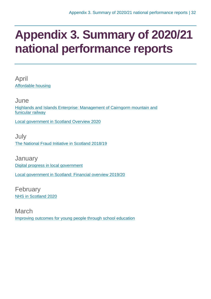### <span id="page-31-0"></span>**Appendix 3. Summary of 2020/21 national performance reports**

April [Affordable housing](https://www.audit-scotland.gov.uk/report/affordable-housing)

June [Highlands and Islands Enterprise: Management of Cairngorm mountain and](https://www.audit-scotland.gov.uk/report/highlands-and-islands-enterprise-management-of-cairngorm-mountain-and-funicular-railway)  [funicular railway](https://www.audit-scotland.gov.uk/report/highlands-and-islands-enterprise-management-of-cairngorm-mountain-and-funicular-railway)

[Local government in Scotland Overview 2020](https://www.audit-scotland.gov.uk/report/local-government-in-scotland-overview-2020)

July [The National Fraud Initiative in Scotland 2018/19](https://www.audit-scotland.gov.uk/report/the-national-fraud-initiative-in-scotland-201819)

**January** [Digital progress in local government](https://www.audit-scotland.gov.uk/report/digital-progress-in-local-government) [Local government in Scotland: Financial overview 2019/20](https://www.audit-scotland.gov.uk/report/local-government-in-scotland-financial-overview-201920)

February [NHS in Scotland 2020](https://www.audit-scotland.gov.uk/report/nhs-in-scotland-2020)

March [Improving outcomes for young people through school education](https://www.audit-scotland.gov.uk/report/improving-outcomes-for-young-people-through-school-education)